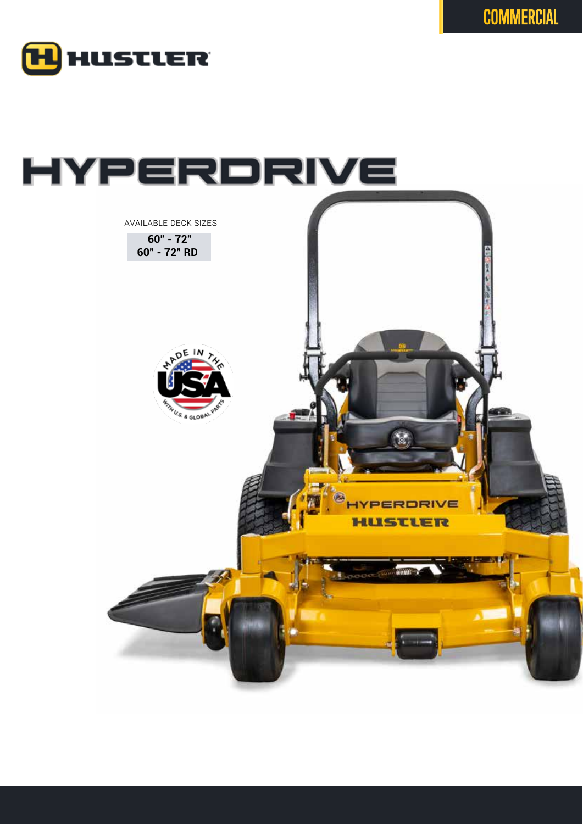



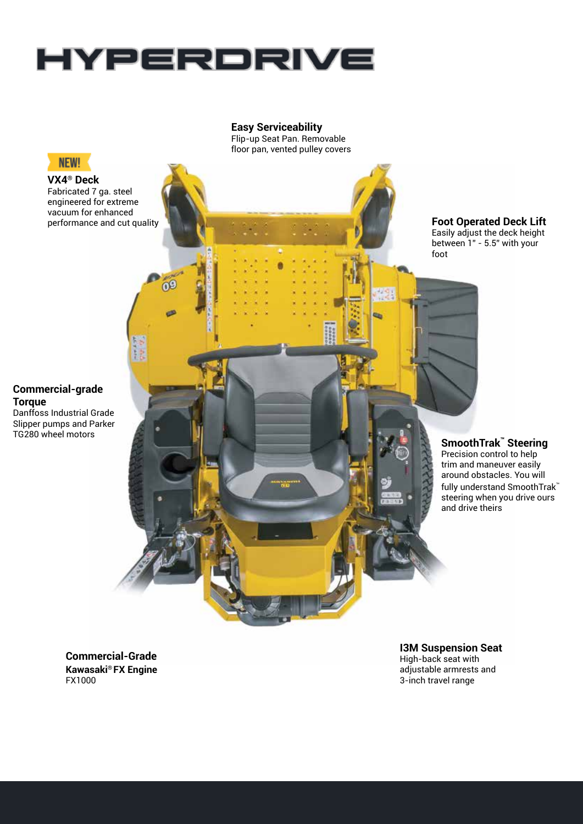# HYPERDRIV

 $\overline{0}9$ 

### **Easy Serviceability**

Flip-up Seat Pan. Removable floor pan, vented pulley covers



**VX4® Deck** Fabricated 7 ga. steel engineered for extreme vacuum for enhanced performance and cut quality

**Foot Operated Deck Lift** Easily adjust the deck height between 1" - 5.5" with your foot

#### **Commercial-grade Torque** Danffoss Industrial Grade

Slipper pumps and Parker TG280 wheel motors

**SmoothTrak™ Steering** Precision control to help

trim and maneuver easily around obstacles. You will fully understand SmoothTrak™ steering when you drive ours and drive theirs

**Commercial-Grade Kawasaki® FX Engine** FX1000

**I3M Suspension Seat**

High-back seat with adjustable armrests and 3-inch travel range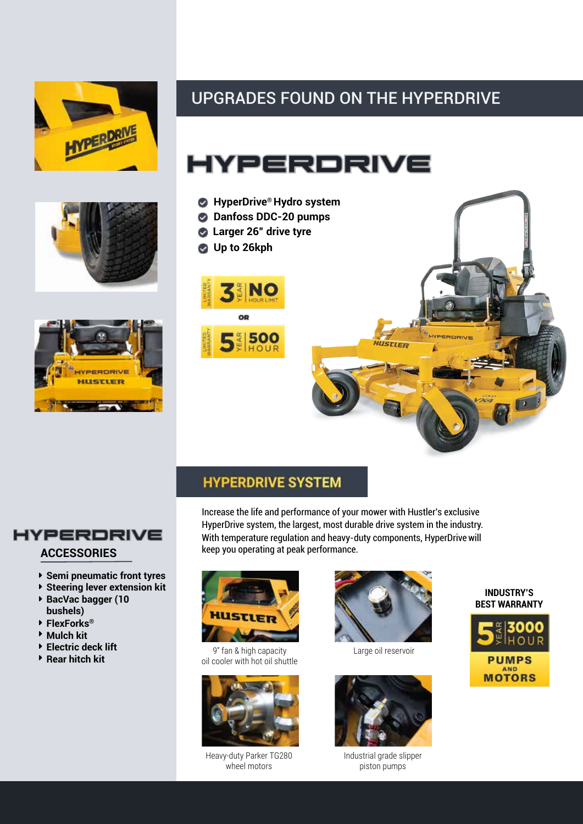

# UPGRADES FOUND ON THE HYPERDRIVE

# **HYPERDRIVE**



**ACCESSORIES**

**HYPERDRIVE** 

**BacVac bagger (10** 

**bushels) FlexForks® Mulch kit Electric deck lift ▶ Rear hitch kit** 

**Semi pneumatic front tyres Steering lever extension kit**

- **Danfoss DDC-20 pumps HyperDrive® Hydro system**
- **Larger 26" drive tyre**
- **Up to 26kph**



HOUR

## **HYPERDRIVE SYSTEM**

Increase the life and performance of your mower with Hustler's exclusive HyperDrive system, the largest, most durable drive system in the industry. With temperature regulation and heavy-duty components, HyperDrivewill keep you operating at peak performance.



9" fan & high capacity oil cooler with hot oil shuttle



Heavy-duty Parker TG280 wheel motors



Large oil reservoir



Industrial grade slipper piston pumps

#### **INDUSTRY'S BEST WARRANTY**

 $\sqrt{2}$ 

HYPERDRIVE

HUSTLER